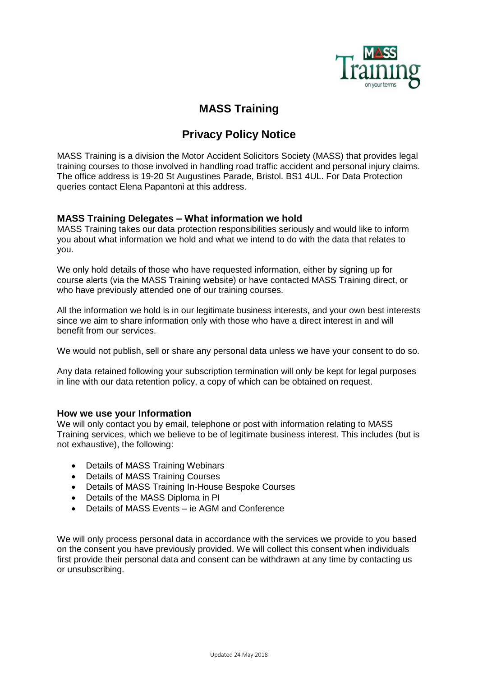

## **MASS Training**

# **Privacy Policy Notice**

MASS Training is a division the Motor Accident Solicitors Society (MASS) that provides legal training courses to those involved in handling road traffic accident and personal injury claims. The office address is 19-20 St Augustines Parade, Bristol. BS1 4UL. For Data Protection queries contact Elena Papantoni at this address.

### **MASS Training Delegates – What information we hold**

MASS Training takes our data protection responsibilities seriously and would like to inform you about what information we hold and what we intend to do with the data that relates to you.

We only hold details of those who have requested information, either by signing up for course alerts (via the MASS Training website) or have contacted MASS Training direct, or who have previously attended one of our training courses.

All the information we hold is in our legitimate business interests, and your own best interests since we aim to share information only with those who have a direct interest in and will benefit from our services.

We would not publish, sell or share any personal data unless we have your consent to do so.

Any data retained following your subscription termination will only be kept for legal purposes in line with our data retention policy, a copy of which can be obtained on request.

#### **How we use your Information**

We will only contact you by email, telephone or post with information relating to MASS Training services, which we believe to be of legitimate business interest. This includes (but is not exhaustive), the following:

- Details of MASS Training Webinars
- Details of MASS Training Courses
- Details of MASS Training In-House Bespoke Courses
- Details of the MASS Diploma in PI
- Details of MASS Events ie AGM and Conference

We will only process personal data in accordance with the services we provide to you based on the consent you have previously provided. We will collect this consent when individuals first provide their personal data and consent can be withdrawn at any time by contacting us or unsubscribing.